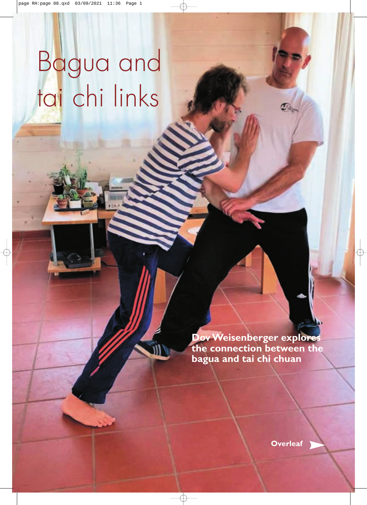# Bagua and tai chi links

**Dov Weisenberger explores the connection between the bagua and tai chi chuan**

**[Overleaf](#page-1-0)**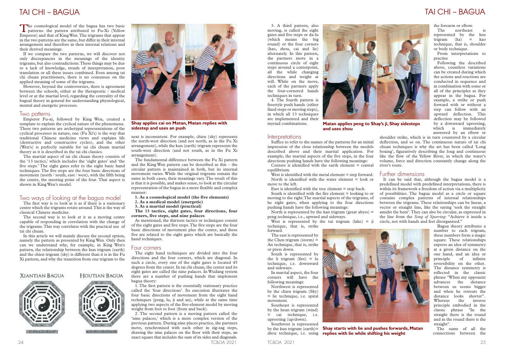next is inconsistent. For example, chien (sky) represents the north-west direction (and not north, as in the Fu Xi arrangement), while the kun (earth) trigram represents the south-west direction (and not south, as in the Fu Xi arrangement).

The fundamental difference between the Fu Xi pattern and the King Wen pattern can be described as this – the circular pattern is maintained in both, but its internal movement varies. While the original trigrams remain the same in both cases, their meanings vary.The result of this is that it is possible, and makes sense, to look at the circular representation of the bagua in a more flexible and complex manner:

- **1. As a cosmological model (the five elements)**
- **2. As a medical model (energetic)**
- **3. As a martial model (practical)**

**The 13 tactics, eight gates, four directions, four corners, five steps, and nine palaces**

As mentioned, the thirteen tactics or techniques consist of the eight gates and five steps.The five steps are the four basic directions of movement plus the center, and these five are related to the eight gates which are basically the hand techniques.

### Four corners

The cosmological model of the bagua has two basic<br>patterns: the pattern attributed to Fu-Xi (Yellow Emperor) and that of KingWen.The trigrams that appear in the two patterns are the same, but differ in their internal arrangement and therefore in their internal relations and their derived meanings.

> The eight hand techniques are divided into the four directions and the four corners, which are diagonal. In such a circle, every one of the eight gates is located 45 degrees from the center.In tai chi chuan, the center and its eight gates are called the nine palaces. In Wudang system there are a number of pushing hands that implement bagua theory:

> 1. The first pattern is the essentially stationary practice called the 'four directions'. Its execution illustrates the four basic directions of movement from the eight hand techniques (peng, lu, ji and an), while at the same time applying two aspects of the five-element model by moving weight from foot to foot (front and back).

> 2. The second pattern is a moving pattern called the 'nine palaces,' which is a more complex version of the previous pattern. During nine places practice, the partners move, synchronised with each other in zig-zag steps, drawing the nine palaces on the floor with their steps, an exact square that includes the sum of its sides and diagonals.

The first way is to look at it as if there is a stationary centre which the trigrams rotate around.This is the way of classical Chinese medicine.

If we compare the two patterns, we will discover not only discrepancies in the meanings of the identity trigrams, but also contradictions.These things may be due to a lack of knowledge, trends of interpretation, poor translation or all these issues combined. Even among tai chi chuan practitioners, there is no consensus on the applied meaning of some of the trigrams.

> West is identified with the metal element = step forward. North is identified with the water element = look or move to the left.

However, beyond the controversies, there is agreement between the schools, either at the therapeutic  $\overline{\prime}$  medical level or at the martial level, regarding the centrality of the bagual theory in general for understanding physiological, mental and energetic processes.

> North is represented by the kan trigram (great abyss)  $=$ peng technique, i.e., upward and sideways.

### Two patterns

West is represented by the tui trigram (lake)  $=$  ii technique, that is, strike

Emperor Fu-xi, followed by King Wen, created a template to explain the cyclical nature of the phenomena. These two patterns are archetypal representations of the cyclical processes in nature, one (Fu Xi's) is the way that traditional Chinese medicine views and explains life (destructive and constructive cycles), and the other (Wen's) is perfectly suitable for tai chi chuan martial theory as it is described in the tai chi classics.

The northeast represented by the ken  $trigram$   $(ka)$  = kao technique, that is, shoulder or body technique.

The martial aspect of tai chi chuan theory consists of the '13 tactics,' which includes the 'eight gates' and 'the five steps.' The eight gates refer to the eight basic hand techniques.The five steps are the four basic directions of movement (north / south, east / west), with the fifth being the centre, the meeting point of the four. That aspect is shown in KingWen's model.

### Two ways of looking at the bagua model

The second way is to look at it as a moving centre capable of responding in correlation with the change of the trigrams.This way correlates with the practical use of tai chi chuan.

In this article we will mainly discuss the second option, namely the pattern as presented by King Wen. Only then can we understand why, for example, in King Wen's pattern, the relationship between the kun trigram (earth) and the chien trigram (sky) is different than it is in the Fu Xi pattern, and why the transition from one trigram to the

### **XIANTIAN BAGUA**



### HOUTIAN BAGUA



KISE IVEN EARN LIGHT

### <span id="page-1-0"></span>TAI CHI – BAGUA TAI CHI – BAGUA

24 TC&OA 2021 TC&OA 2021 25

3. A third pattern, also moving, is called the eight gates and five steps or da-lu (which means the big round) or the four corners (kao, zhou, cai and lie) alternately. In this pattern, the partners move in a continuous circle of eight steps around a centerpoint, all the while changing directions and weight at will. While on the move, each of the partners apply the four-cornered hands techniques in turn.

4. The fourth pattern is freestyle push hands (either fixed steps or moving steps), in which all 13 techniques are implemented and their myriad combinations.

East is identified with the tree element = step back. South is identified with the fire element = looking to or moving to the right.The martial aspects of the trigrams, of he eight gates, when applying to the four directions pushing hands have the following meanings:

forward.

The east is represented by the Chen trigram (storm)  $=$ An technique, that is, strike or press down.

South is represented by the li trigram (fire)  $=$  lu technique, i.e. downward and sideways.

In martial aspect, the four corners will have the following meanings:

Suffice to refer to the names of the patterns for an initial impression of the close relationship between the models described above and their martial application. For example, the martial aspects of the five steps, in the four directions pushing hands have the following meanings: Centere is identified with the earth element  $=$  central shoulder strike, which is in turn countered by a circular deflection, and so on. The continuous nature of tai chi chuan techniques is why the art has been called 'Long boxing', figuratively describing the long and continuous like the flow of the Yellow River, in which the water's volume, force and direction constantly change along the river's route.

equilibrium.

Northwest is represented by the chien trigram (Sky) = lie technique, i.e. spiral movement.

Southeast is represented by the hsun trigram (wind) = cai technique, i.e. uprooting (up/down).

Southwest is represented



**Shay applies cai on Matan, Matan replies with sidestep and uses an push**

the forearm or elbow.

From interpretations to practise

Following the described above, countless variations can be created during which the actions and reactions are conducted in sequence and in combination with some or all of the principles as they appear in the bagua. For example, a strike or push forward with or without a step can follow with an upward deflection. This deflection may be followed by a downward uprooting, which is immediately answered by an elbow or

### Further dimensions

by the kun trigram (earth)= **Shay starts with lie and pushes forwards, Matan** zhou technique, i.e. using **replies with lie while shifting his weight**

It can be said that, although the bagua model is a predefined model with predefined interpretations, there is within its framework a freedom of action via a multiplicity of possibilities. The bagua model as a circle or square contains complex patterns of internal relationships between the trigrams. These relationships can be linear, a vector or straight line, like the saying 'seek the straight amidst the bent'.They can also be circular, as expressed in the line from the *Song of Sparring*: "Achieve it inside a circle, not with hands and feet disorganised."



Bagua theory attributes a number to each trigram, these numbers form a magic square. These relationships express an idea of symmetry at a given distance on the one hand, and an idea or principle of infinite reversibility on the other. The distance symmetry is reflected in the classic phrase "When my opponent advances the distance between us seems bigger and when he retreats the distance looks shorter". Whereas the inverse principle embodied in the classic phrase "In the straight there is the round and in the round there is the straight".

The sums of all the connections between the



**Matan applies peng to Shay's ji, Shay sidesteps and uses zhou**

#### **Interpretations**